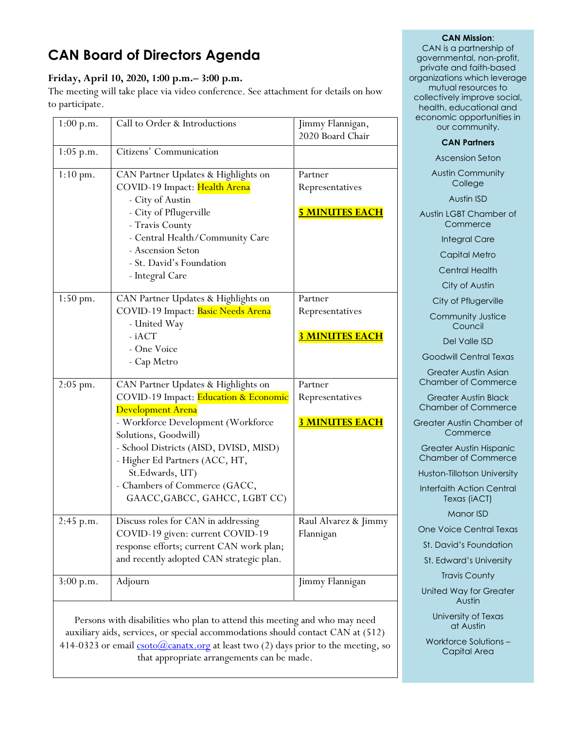# **CAN Board of Directors Agenda**

# **Friday, April 10, 2020, 1:00 p.m.– 3:00 p.m.**

The meeting will take place via video conference. See attachment for details on how to participate.

| 1:00 p.m.          | Call to Order & Introductions                                                                                                                                                                                                                                                                                                           | Jimmy Flannigan,<br>2020 Board Chair                |
|--------------------|-----------------------------------------------------------------------------------------------------------------------------------------------------------------------------------------------------------------------------------------------------------------------------------------------------------------------------------------|-----------------------------------------------------|
| $1:05$ p.m.        | Citizens' Communication                                                                                                                                                                                                                                                                                                                 |                                                     |
| $1:10 \text{ pm}.$ | CAN Partner Updates & Highlights on<br>COVID-19 Impact: Health Arena<br>- City of Austin                                                                                                                                                                                                                                                | Partner<br>Representatives                          |
|                    | - City of Pflugerville<br>- Travis County<br>- Central Health/Community Care<br>- Ascension Seton<br>- St. David's Foundation<br>- Integral Care                                                                                                                                                                                        | <b><u>5 MINUTES EACH</u></b>                        |
| $1:50$ pm.         | CAN Partner Updates & Highlights on<br>COVID-19 Impact: Basic Needs Arena<br>- United Way<br>- iACT<br>- One Voice<br>- Cap Metro                                                                                                                                                                                                       | Partner<br>Representatives<br><b>3 MINUTES EACH</b> |
| $2:05$ pm.         | CAN Partner Updates & Highlights on<br>COVID-19 Impact: Education & Economic<br><b>Development Arena</b><br>- Workforce Development (Workforce<br>Solutions, Goodwill)<br>- School Districts (AISD, DVISD, MISD)<br>- Higher Ed Partners (ACC, HT,<br>St.Edwards, UT)<br>- Chambers of Commerce (GACC,<br>GAACC, GABCC, GAHCC, LGBT CC) | Partner<br>Representatives<br><b>3 MINUTES EACH</b> |
| 2:45 p.m.          | Discuss roles for CAN in addressing<br>COVID-19 given: current COVID-19<br>response efforts; current CAN work plan;<br>and recently adopted CAN strategic plan.                                                                                                                                                                         | Raul Alvarez & Jimmy<br>Flannigan                   |
| 3:00 p.m.          | Adjourn                                                                                                                                                                                                                                                                                                                                 | Jimmy Flannigan                                     |

Persons with disabilities who plan to attend this meeting and who may need auxiliary aids, services, or special accommodations should contact CAN at (512) 414-0323 or email  $\frac{\text{csoto}(Q)\text{canatx.org}}{Q}$  at least two (2) days prior to the meeting, so that appropriate arrangements can be made.

## **CAN Mission**:

CAN is a partnership of governmental, non-profit, private and faith-based organizations which leverage mutual resources to collectively improve social, health, educational and economic opportunities in our community.

## **CAN Partners**

Ascension Seton

Austin Community **College** 

Austin ISD

Austin LGBT Chamber of **Commerce** 

Integral Care

Capital Metro

Central Health

City of Austin

City of Pflugerville

Community Justice **Council** 

Del Valle ISD

Goodwill Central Texas

Greater Austin Asian Chamber of Commerce

Greater Austin Black Chamber of Commerce

Greater Austin Chamber of **Commerce** 

Greater Austin Hispanic Chamber of Commerce

Huston-Tillotson University

Interfaith Action Central Texas (iACT)

Manor ISD

One Voice Central Texas

St. David's Foundation

St. Edward's University

Travis County

United Way for Greater Austin

> University of Texas at Austin

Workforce Solutions – Capital Area